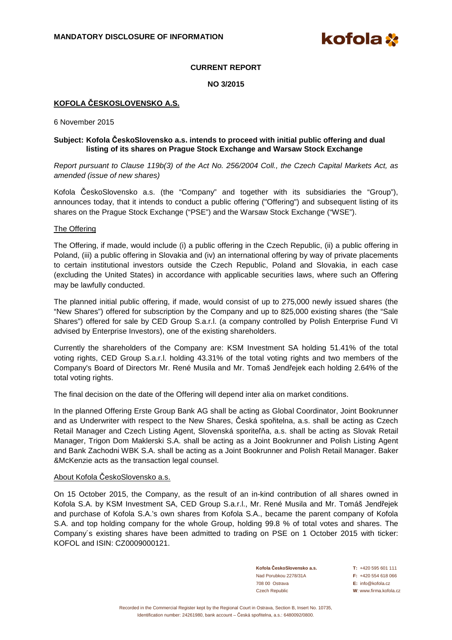kofola **X** 

# **CURRENT REPORT**

**NO 3/2015** 

# **KOFOLA ČESKOSLOVENSKO A.S.**

6 November 2015

# **Subject: Kofola ČeskoSlovensko a.s. intends to proceed with initial public offering and dual listing of its shares on Prague Stock Exchange and Warsaw Stock Exchange**

Report pursuant to Clause 119b(3) of the Act No. 256/2004 Coll., the Czech Capital Markets Act, as amended (issue of new shares)

Kofola ČeskoSlovensko a.s. (the "Company" and together with its subsidiaries the "Group"), announces today, that it intends to conduct a public offering ("Offering") and subsequent listing of its shares on the Prague Stock Exchange ("PSE") and the Warsaw Stock Exchange ("WSE").

# The Offering

The Offering, if made, would include (i) a public offering in the Czech Republic, (ii) a public offering in Poland, (iii) a public offering in Slovakia and (iv) an international offering by way of private placements to certain institutional investors outside the Czech Republic, Poland and Slovakia, in each case (excluding the United States) in accordance with applicable securities laws, where such an Offering may be lawfully conducted.

The planned initial public offering, if made, would consist of up to 275,000 newly issued shares (the "New Shares") offered for subscription by the Company and up to 825,000 existing shares (the "Sale Shares") offered for sale by CED Group S.a.r.l. (a company controlled by Polish Enterprise Fund VI advised by Enterprise Investors), one of the existing shareholders.

Currently the shareholders of the Company are: KSM Investment SA holding 51.41% of the total voting rights, CED Group S.a.r.l. holding 43.31% of the total voting rights and two members of the Company's Board of Directors Mr. René Musila and Mr. Tomaš Jendřejek each holding 2.64% of the total voting rights.

The final decision on the date of the Offering will depend inter alia on market conditions.

In the planned Offering Erste Group Bank AG shall be acting as Global Coordinator, Joint Bookrunner and as Underwriter with respect to the New Shares, Česká spořitelna, a.s. shall be acting as Czech Retail Manager and Czech Listing Agent, Slovenská sporiteľňa, a.s. shall be acting as Slovak Retail Manager, Trigon Dom Maklerski S.A. shall be acting as a Joint Bookrunner and Polish Listing Agent and Bank Zachodni WBK S.A. shall be acting as a Joint Bookrunner and Polish Retail Manager. Baker &McKenzie acts as the transaction legal counsel.

#### About Kofola ČeskoSlovensko a.s.

On 15 October 2015, the Company, as the result of an in-kind contribution of all shares owned in Kofola S.A. by KSM Investment SA, CED Group S.a.r.l., Mr. René Musila and Mr. Tomáš Jendřejek and purchase of Kofola S.A.'s own shares from Kofola S.A., became the parent company of Kofola S.A. and top holding company for the whole Group, holding 99.8 % of total votes and shares. The Company´s existing shares have been admitted to trading on PSE on 1 October 2015 with ticker: KOFOL and ISIN: CZ0009000121.

> **Kofola ČeskoSlovensko a.s. T:** +420 595 601 111 Nad Porubkou 2278/31A **F:** +420 554 618 066 708 00 Ostrava **E:** info@kofola.cz Czech Republic **W**: www.firma.kofola.cz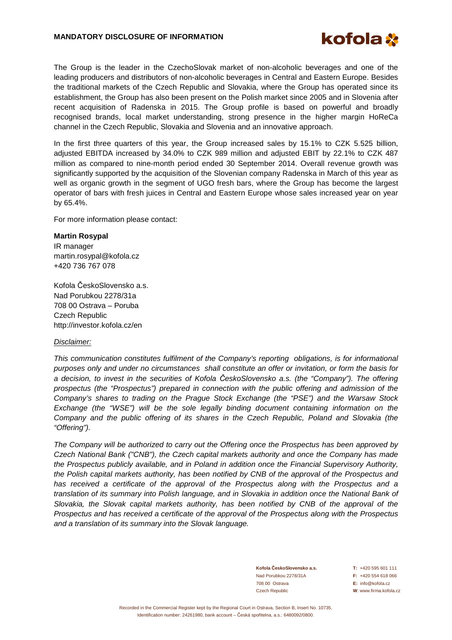### **MANDATORY DISCLOSURE OF INFORMATION**



The Group is the leader in the CzechoSlovak market of non-alcoholic beverages and one of the leading producers and distributors of non-alcoholic beverages in Central and Eastern Europe. Besides the traditional markets of the Czech Republic and Slovakia, where the Group has operated since its establishment, the Group has also been present on the Polish market since 2005 and in Slovenia after recent acquisition of Radenska in 2015. The Group profile is based on powerful and broadly recognised brands, local market understanding, strong presence in the higher margin HoReCa channel in the Czech Republic, Slovakia and Slovenia and an innovative approach.

In the first three quarters of this year, the Group increased sales by 15.1% to CZK 5.525 billion, adjusted EBITDA increased by 34.0% to CZK 989 million and adjusted EBIT by 22.1% to CZK 487 million as compared to nine-month period ended 30 September 2014. Overall revenue growth was significantly supported by the acquisition of the Slovenian company Radenska in March of this year as well as organic growth in the segment of UGO fresh bars, where the Group has become the largest operator of bars with fresh juices in Central and Eastern Europe whose sales increased year on year by 65.4%.

For more information please contact:

### **Martin Rosypal**

IR manager martin.rosypal@kofola.cz +420 736 767 078

Kofola ČeskoSlovensko a.s. Nad Porubkou 2278/31a 708 00 Ostrava – Poruba Czech Republic http://investor.kofola.cz/en

# Disclaimer:

This communication constitutes fulfilment of the Company's reporting obligations, is for informational purposes only and under no circumstances shall constitute an offer or invitation, or form the basis for a decision, to invest in the securities of Kofola *Č*eskoSlovensko a.s. (the "Company"). The offering prospectus (the "Prospectus") prepared in connection with the public offering and admission of the Company's shares to trading on the Prague Stock Exchange (the "PSE") and the Warsaw Stock Exchange (the "WSE") will be the sole legally binding document containing information on the Company and the public offering of its shares in the Czech Republic, Poland and Slovakia (the "Offering").

The Company will be authorized to carry out the Offering once the Prospectus has been approved by Czech National Bank ("CNB"), the Czech capital markets authority and once the Company has made the Prospectus publicly available, and in Poland in addition once the Financial Supervisory Authority, the Polish capital markets authority, has been notified by CNB of the approval of the Prospectus and has received a certificate of the approval of the Prospectus along with the Prospectus and a translation of its summary into Polish language, and in Slovakia in addition once the National Bank of Slovakia, the Slovak capital markets authority, has been notified by CNB of the approval of the Prospectus and has received a certificate of the approval of the Prospectus along with the Prospectus and a translation of its summary into the Slovak language.

> **Kofola ČeskoSlovensko a.s. T:** +420 595 601 111 Nad Porubkou 2278/31A **F:** +420 554 618 066 708 00 Ostrava **E:** info@kofola.cz Czech Republic **W**: www.firma.kofola.cz